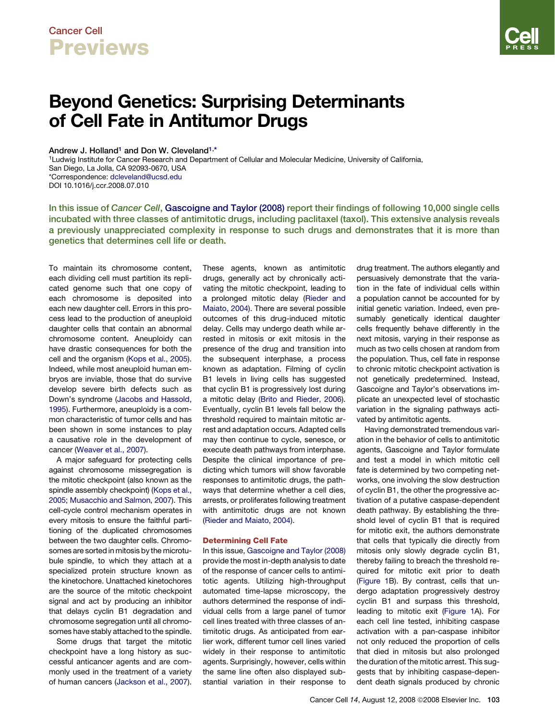# Cancer Cell **Previews**

# Beyond Genetics: Surprising Determinants of Cell Fate in Antitumor Drugs

Andrew J. Holland<sup>1</sup> and Don W. Cleveland<sup>1,\*</sup>

1Ludwig Institute for Cancer Research and Department of Cellular and Molecular Medicine, University of California, San Diego, La Jolla, CA 92093-0670, USA \*Correspondence: [dcleveland@ucsd.edu](mailto:dcleveland@ucsd.edu) DOI 10.1016/j.ccr.2008.07.010

In this issue of Cancer Cell, [Gascoigne and Taylor \(2008\)](#page-2-0) report their findings of following 10,000 single cells incubated with three classes of antimitotic drugs, including paclitaxel (taxol). This extensive analysis reveals a previously unappreciated complexity in response to such drugs and demonstrates that it is more than genetics that determines cell life or death.

To maintain its chromosome content, each dividing cell must partition its replicated genome such that one copy of each chromosome is deposited into each new daughter cell. Errors in this process lead to the production of aneuploid daughter cells that contain an abnormal chromosome content. Aneuploidy can have drastic consequences for both the cell and the organism ([Kops et al., 2005\)](#page-2-0). Indeed, while most aneuploid human embryos are inviable, those that do survive develop severe birth defects such as Down's syndrome [\(Jacobs and Hassold,](#page-2-0) [1995\)](#page-2-0). Furthermore, aneuploidy is a common characteristic of tumor cells and has been shown in some instances to play a causative role in the development of cancer ([Weaver et al., 2007](#page-2-0)).

A major safeguard for protecting cells against chromosome missegregation is the mitotic checkpoint (also known as the spindle assembly checkpoint) ([Kops et al.,](#page-2-0) [2005; Musacchio and Salmon, 2007](#page-2-0)). This cell-cycle control mechanism operates in every mitosis to ensure the faithful partitioning of the duplicated chromosomes between the two daughter cells. Chromosomes are sorted in mitosis by the microtubule spindle, to which they attach at a specialized protein structure known as the kinetochore. Unattached kinetochores are the source of the mitotic checkpoint signal and act by producing an inhibitor that delays cyclin B1 degradation and chromosome segregation until all chromosomes have stably attached to the spindle.

Some drugs that target the mitotic checkpoint have a long history as successful anticancer agents and are commonly used in the treatment of a variety of human cancers ([Jackson et al., 2007\)](#page-2-0). These agents, known as antimitotic drugs, generally act by chronically activating the mitotic checkpoint, leading to a prolonged mitotic delay ([Rieder and](#page-2-0) [Maiato, 2004\)](#page-2-0). There are several possible outcomes of this drug-induced mitotic delay. Cells may undergo death while arrested in mitosis or exit mitosis in the presence of the drug and transition into the subsequent interphase, a process known as adaptation. Filming of cyclin B1 levels in living cells has suggested that cyclin B1 is progressively lost during a mitotic delay [\(Brito and Rieder, 2006](#page-1-0)). Eventually, cyclin B1 levels fall below the threshold required to maintain mitotic arrest and adaptation occurs. Adapted cells may then continue to cycle, senesce, or execute death pathways from interphase. Despite the clinical importance of predicting which tumors will show favorable responses to antimitotic drugs, the pathways that determine whether a cell dies, arrests, or proliferates following treatment with antimitotic drugs are not known ([Rieder and Maiato, 2004\)](#page-2-0).

### Determining Cell Fate

In this issue, [Gascoigne and Taylor \(2008\)](#page-2-0) provide the most in-depth analysis to date of the response of cancer cells to antimitotic agents. Utilizing high-throughput automated time-lapse microscopy, the authors determined the response of individual cells from a large panel of tumor cell lines treated with three classes of antimitotic drugs. As anticipated from earlier work, different tumor cell lines varied widely in their response to antimitotic agents. Surprisingly, however, cells within the same line often also displayed substantial variation in their response to drug treatment. The authors elegantly and persuasively demonstrate that the variation in the fate of individual cells within a population cannot be accounted for by initial genetic variation. Indeed, even presumably genetically identical daughter cells frequently behave differently in the next mitosis, varying in their response as much as two cells chosen at random from the population. Thus, cell fate in response to chronic mitotic checkpoint activation is not genetically predetermined. Instead, Gascoigne and Taylor's observations implicate an unexpected level of stochastic variation in the signaling pathways activated by antimitotic agents.

Having demonstrated tremendous variation in the behavior of cells to antimitotic agents, Gascoigne and Taylor formulate and test a model in which mitotic cell fate is determined by two competing networks, one involving the slow destruction of cyclin B1, the other the progressive activation of a putative caspase-dependent death pathway. By establishing the threshold level of cyclin B1 that is required for mitotic exit, the authors demonstrate that cells that typically die directly from mitosis only slowly degrade cyclin B1, thereby failing to breach the threshold required for mitotic exit prior to death [\(Figure 1B](#page-1-0)). By contrast, cells that undergo adaptation progressively destroy cyclin B1 and surpass this threshold, leading to mitotic exit ([Figure 1A](#page-1-0)). For each cell line tested, inhibiting caspase activation with a pan-caspase inhibitor not only reduced the proportion of cells that died in mitosis but also prolonged the duration of the mitotic arrest. This suggests that by inhibiting caspase-dependent death signals produced by chronic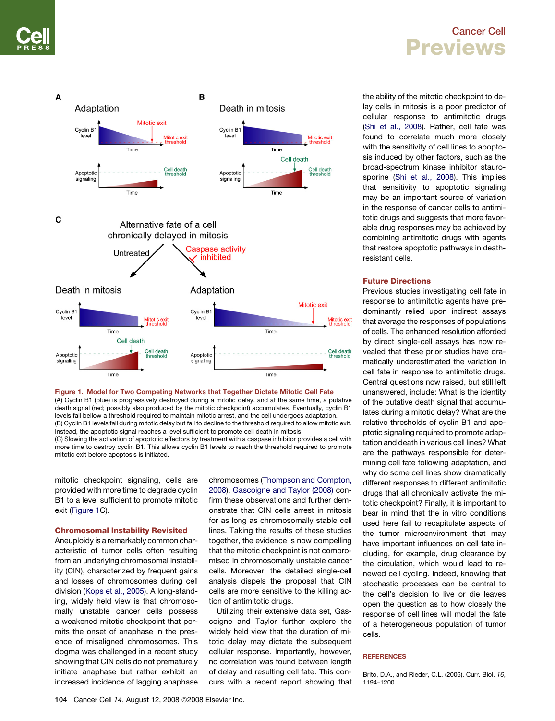<span id="page-1-0"></span>A

## Cancer Cell Previews



### Future Directions

Previous studies investigating cell fate in response to antimitotic agents have predominantly relied upon indirect assays that average the responses of populations of cells. The enhanced resolution afforded by direct single-cell assays has now revealed that these prior studies have dramatically underestimated the variation in cell fate in response to antimitotic drugs. Central questions now raised, but still left unanswered, include: What is the identity of the putative death signal that accumulates during a mitotic delay? What are the relative thresholds of cyclin B1 and apoptotic signaling required to promote adaptation and death in various cell lines? What are the pathways responsible for determining cell fate following adaptation, and why do some cell lines show dramatically different responses to different antimitotic drugs that all chronically activate the mitotic checkpoint? Finally, it is important to bear in mind that the in vitro conditions used here fail to recapitulate aspects of the tumor microenvironment that may have important influences on cell fate including, for example, drug clearance by the circulation, which would lead to renewed cell cycling. Indeed, knowing that stochastic processes can be central to the cell's decision to live or die leaves open the question as to how closely the response of cell lines will model the fate of a heterogeneous population of tumor cells.

#### **REFERENCES**

Brito, D.A., and Rieder, C.L. (2006). Curr. Biol. *16*, 1194–1200.



B

Figure 1. Model for Two Competing Networks that Together Dictate Mitotic Cell Fate (A) Cyclin B1 (blue) is progressively destroyed during a mitotic delay, and at the same time, a putative death signal (red; possibly also produced by the mitotic checkpoint) accumulates. Eventually, cyclin B1 levels fall bellow a threshold required to maintain mitotic arrest, and the cell undergoes adaptation. (B) Cyclin B1 levels fall during mitotic delay but fail to decline to the threshold required to allow mitotic exit. Instead, the apoptotic signal reaches a level sufficient to promote cell death in mitosis.

(C) Slowing the activation of apoptotic effectors by treatment with a caspase inhibitor provides a cell with more time to destroy cyclin B1. This allows cyclin B1 levels to reach the threshold required to promote mitotic exit before apoptosis is initiated.

mitotic checkpoint signaling, cells are provided with more time to degrade cyclin B1 to a level sufficient to promote mitotic exit (Figure 1C).

#### Chromosomal Instability Revisited

Aneuploidy is a remarkably common characteristic of tumor cells often resulting from an underlying chromosomal instability (CIN), characterized by frequent gains and losses of chromosomes during cell division ([Kops et al., 2005\)](#page-2-0). A long-standing, widely held view is that chromosomally unstable cancer cells possess a weakened mitotic checkpoint that permits the onset of anaphase in the presence of misaligned chromosomes. This dogma was challenged in a recent study showing that CIN cells do not prematurely initiate anaphase but rather exhibit an increased incidence of lagging anaphase

chromosomes ([Thompson and Compton,](#page-2-0) [2008\)](#page-2-0). [Gascoigne and Taylor \(2008\)](#page-2-0) confirm these observations and further demonstrate that CIN cells arrest in mitosis for as long as chromosomally stable cell lines. Taking the results of these studies together, the evidence is now compelling that the mitotic checkpoint is not compromised in chromosomally unstable cancer cells. Moreover, the detailed single-cell analysis dispels the proposal that CIN cells are more sensitive to the killing action of antimitotic drugs.

Utilizing their extensive data set, Gascoigne and Taylor further explore the widely held view that the duration of mitotic delay may dictate the subsequent cellular response. Importantly, however, no correlation was found between length of delay and resulting cell fate. This concurs with a recent report showing that